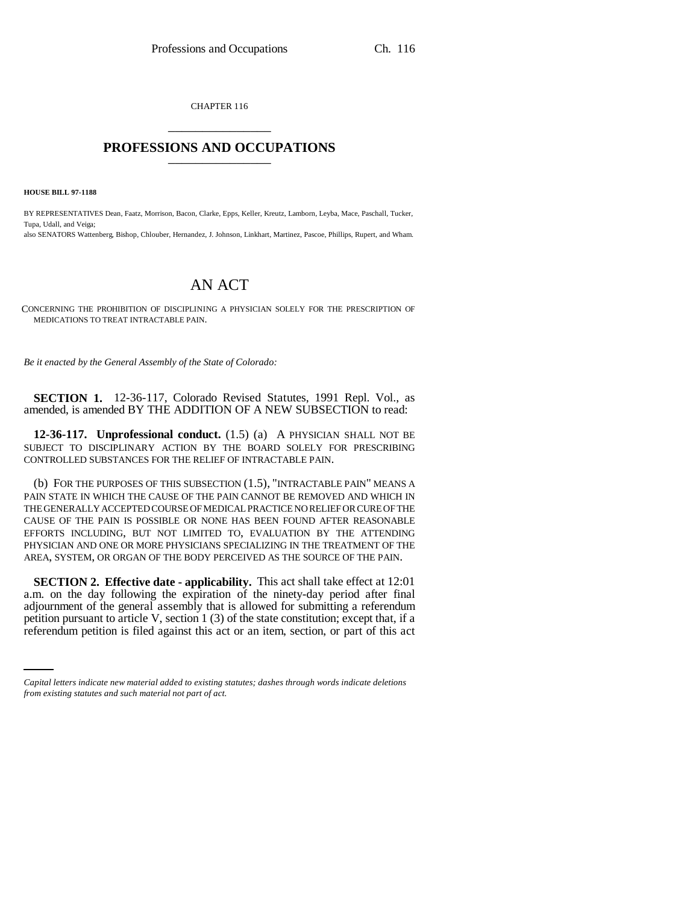CHAPTER 116 \_\_\_\_\_\_\_\_\_\_\_\_\_\_\_

## **PROFESSIONS AND OCCUPATIONS** \_\_\_\_\_\_\_\_\_\_\_\_\_\_\_

**HOUSE BILL 97-1188**

BY REPRESENTATIVES Dean, Faatz, Morrison, Bacon, Clarke, Epps, Keller, Kreutz, Lamborn, Leyba, Mace, Paschall, Tucker, Tupa, Udall, and Veiga; also SENATORS Wattenberg, Bishop, Chlouber, Hernandez, J. Johnson, Linkhart, Martinez, Pascoe, Phillips, Rupert, and Wham.

## AN ACT

CONCERNING THE PROHIBITION OF DISCIPLINING A PHYSICIAN SOLELY FOR THE PRESCRIPTION OF MEDICATIONS TO TREAT INTRACTABLE PAIN.

*Be it enacted by the General Assembly of the State of Colorado:*

**SECTION 1.** 12-36-117, Colorado Revised Statutes, 1991 Repl. Vol., as amended, is amended BY THE ADDITION OF A NEW SUBSECTION to read:

**12-36-117. Unprofessional conduct.** (1.5) (a) A PHYSICIAN SHALL NOT BE SUBJECT TO DISCIPLINARY ACTION BY THE BOARD SOLELY FOR PRESCRIBING CONTROLLED SUBSTANCES FOR THE RELIEF OF INTRACTABLE PAIN.

(b) FOR THE PURPOSES OF THIS SUBSECTION (1.5), "INTRACTABLE PAIN" MEANS A PAIN STATE IN WHICH THE CAUSE OF THE PAIN CANNOT BE REMOVED AND WHICH IN THE GENERALLY ACCEPTED COURSE OF MEDICAL PRACTICE NO RELIEF OR CURE OF THE CAUSE OF THE PAIN IS POSSIBLE OR NONE HAS BEEN FOUND AFTER REASONABLE EFFORTS INCLUDING, BUT NOT LIMITED TO, EVALUATION BY THE ATTENDING PHYSICIAN AND ONE OR MORE PHYSICIANS SPECIALIZING IN THE TREATMENT OF THE AREA, SYSTEM, OR ORGAN OF THE BODY PERCEIVED AS THE SOURCE OF THE PAIN.

adjournment of the general assembly that is allowed for submitting a referendum<br>restition pressumpt to extials  $V_{\text{e}}$  section 1.(2) of the state constitution execut that if a **SECTION 2. Effective date - applicability.** This act shall take effect at 12:01 a.m. on the day following the expiration of the ninety-day period after final petition pursuant to article V, section 1 (3) of the state constitution; except that, if a referendum petition is filed against this act or an item, section, or part of this act

*Capital letters indicate new material added to existing statutes; dashes through words indicate deletions from existing statutes and such material not part of act.*